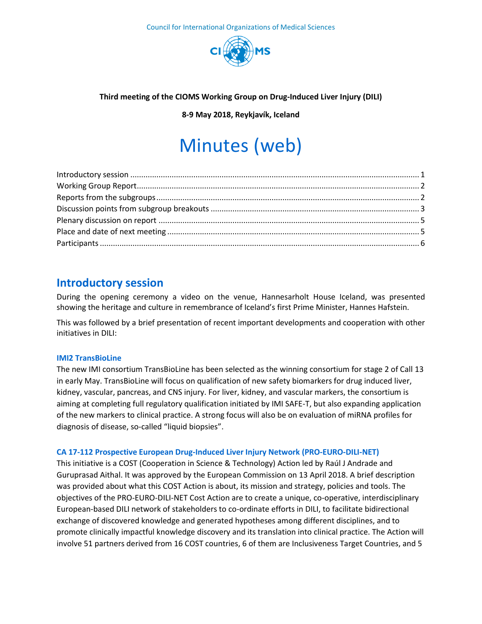

#### **Third meeting of the CIOMS Working Group on Drug-Induced Liver Injury (DILI)**

**8-9 May 2018, Reykjavík, Iceland**

# Minutes (web)

## <span id="page-0-0"></span>**Introductory session**

During the opening ceremony a video on the venue, Hannesarholt House Iceland, was presented showing the heritage and culture in remembrance of Iceland's first Prime Minister, Hannes Hafstein.

This was followed by a brief presentation of recent important developments and cooperation with other initiatives in DILI:

#### **IMI2 TransBioLine**

The new IMI consortium TransBioLine has been selected as the winning consortium for stage 2 of Call 13 in early May. TransBioLine will focus on qualification of new safety biomarkers for drug induced liver, kidney, vascular, pancreas, and CNS injury. For liver, kidney, and vascular markers, the consortium is aiming at completing full regulatory qualification initiated by IMI SAFE-T, but also expanding application of the new markers to clinical practice. A strong focus will also be on evaluation of miRNA profiles for diagnosis of disease, so-called "liquid biopsies".

#### **CA 17-112 Prospective European Drug-Induced Liver Injury Network (PRO-EURO-DILI-NET)**

This initiative is a COST (Cooperation in Science & Technology) Action led by Raúl J Andrade and Guruprasad Aithal. It was approved by the European Commission on 13 April 2018. A brief description was provided about what this COST Action is about, its mission and strategy, policies and tools. The objectives of the PRO-EURO-DILI-NET Cost Action are to create a unique, co-operative, interdisciplinary European-based DILI network of stakeholders to co-ordinate efforts in DILI, to facilitate bidirectional exchange of discovered knowledge and generated hypotheses among different disciplines, and to promote clinically impactful knowledge discovery and its translation into clinical practice. The Action will involve 51 partners derived from 16 COST countries, 6 of them are Inclusiveness Target Countries, and 5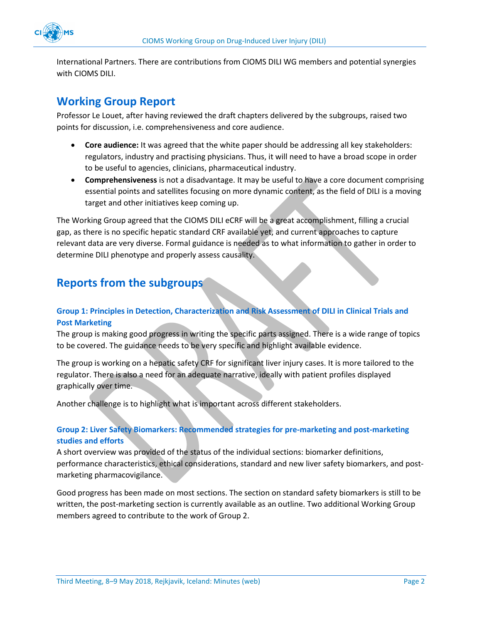

International Partners. There are contributions from CIOMS DILI WG members and potential synergies with CIOMS DILI.

### <span id="page-1-0"></span>**Working Group Report**

Professor Le Louet, after having reviewed the draft chapters delivered by the subgroups, raised two points for discussion, i.e. comprehensiveness and core audience.

- **Core audience:** It was agreed that the white paper should be addressing all key stakeholders: regulators, industry and practising physicians. Thus, it will need to have a broad scope in order to be useful to agencies, clinicians, pharmaceutical industry.
- **Comprehensiveness** is not a disadvantage. It may be useful to have a core document comprising essential points and satellites focusing on more dynamic content, as the field of DILI is a moving target and other initiatives keep coming up.

The Working Group agreed that the CIOMS DILI eCRF will be a great accomplishment, filling a crucial gap, as there is no specific hepatic standard CRF available yet, and current approaches to capture relevant data are very diverse. Formal guidance is needed as to what information to gather in order to determine DILI phenotype and properly assess causality.

## <span id="page-1-1"></span>**Reports from the subgroups**

#### **Group 1: Principles in Detection, Characterization and Risk Assessment of DILI in Clinical Trials and Post Marketing**

The group is making good progress in writing the specific parts assigned. There is a wide range of topics to be covered. The guidance needs to be very specific and highlight available evidence.

The group is working on a hepatic safety CRF for significant liver injury cases. It is more tailored to the regulator. There is also a need for an adequate narrative, ideally with patient profiles displayed graphically over time.

Another challenge is to highlight what is important across different stakeholders.

#### **Group 2: Liver Safety Biomarkers: Recommended strategies for pre-marketing and post-marketing studies and efforts**

A short overview was provided of the status of the individual sections: biomarker definitions, performance characteristics, ethical considerations, standard and new liver safety biomarkers, and postmarketing pharmacovigilance.

Good progress has been made on most sections. The section on standard safety biomarkers is still to be written, the post-marketing section is currently available as an outline. Two additional Working Group members agreed to contribute to the work of Group 2.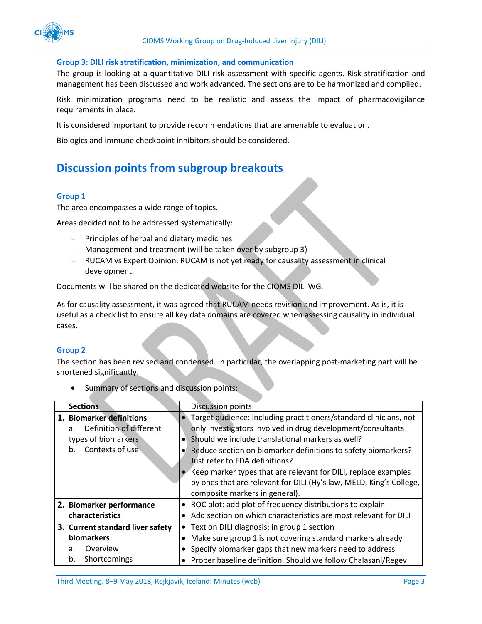#### **Group 3: DILI risk stratification, minimization, and communication**

The group is looking at a quantitative DILI risk assessment with specific agents. Risk stratification and management has been discussed and work advanced. The sections are to be harmonized and compiled.

Risk minimization programs need to be realistic and assess the impact of pharmacovigilance requirements in place.

It is considered important to provide recommendations that are amenable to evaluation.

Biologics and immune checkpoint inhibitors should be considered.

## <span id="page-2-0"></span>**Discussion points from subgroup breakouts**

#### **Group 1**

The area encompasses a wide range of topics.

Areas decided not to be addressed systematically:

- $-$  Principles of herbal and dietary medicines
- Management and treatment (will be taken over by subgroup 3)
- RUCAM vs Expert Opinion. RUCAM is not yet ready for causality assessment in clinical development.

Documents will be shared on the dedicated website for the CIOMS DILI WG.

As for causality assessment, it was agreed that RUCAM needs revision and improvement. As is, it is useful as a check list to ensure all key data domains are covered when assessing causality in individual cases.

#### **Group 2**

The section has been revised and condensed. In particular, the overlapping post-marketing part will be shortened significantly.

| <b>Sections</b>                           | <b>Discussion points</b>                                            |
|-------------------------------------------|---------------------------------------------------------------------|
| 1. Biomarker definitions                  | • Target audience: including practitioners/standard clinicians, not |
| Definition of different<br>a <sub>z</sub> | only investigators involved in drug development/consultants         |
| types of biomarkers                       | Should we include translational markers as well?                    |
| Contexts of use<br>b.                     | Reduce section on biomarker definitions to safety biomarkers?       |
|                                           | Just refer to FDA definitions?                                      |
|                                           | Keep marker types that are relevant for DILI, replace examples      |
|                                           | by ones that are relevant for DILI (Hy's law, MELD, King's College, |
|                                           | composite markers in general).                                      |
| 2. Biomarker performance                  | • ROC plot: add plot of frequency distributions to explain          |
| characteristics                           | Add section on which characteristics are most relevant for DILI     |
| 3. Current standard liver safety          | • Text on DILI diagnosis: in group 1 section                        |
| biomarkers                                | Make sure group 1 is not covering standard markers already          |
| Overview<br>a.                            | Specify biomarker gaps that new markers need to address             |
| Shortcomings<br>b.                        | Proper baseline definition. Should we follow Chalasani/Regev        |

• Summary of sections and discussion points: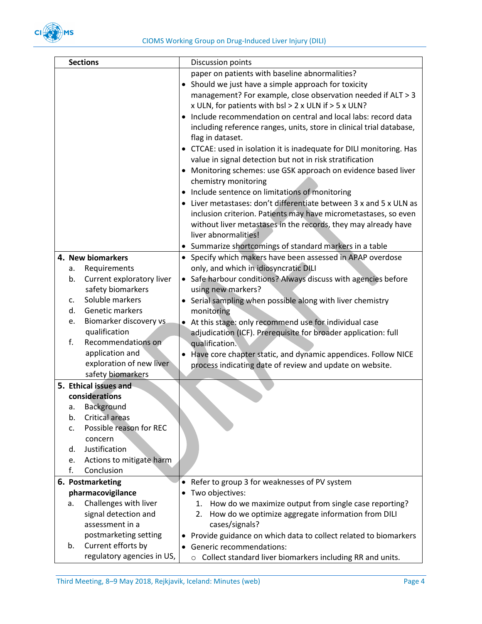

|    | <b>Sections</b>            | Discussion points                                                          |
|----|----------------------------|----------------------------------------------------------------------------|
|    |                            | paper on patients with baseline abnormalities?                             |
|    |                            | • Should we just have a simple approach for toxicity                       |
|    |                            | management? For example, close observation needed if ALT > 3               |
|    |                            | x ULN, for patients with bsl > 2 x ULN if > 5 x ULN?                       |
|    |                            | Include recommendation on central and local labs: record data<br>$\bullet$ |
|    |                            | including reference ranges, units, store in clinical trial database,       |
|    |                            | flag in dataset.                                                           |
|    |                            | • CTCAE: used in isolation it is inadequate for DILI monitoring. Has       |
|    |                            | value in signal detection but not in risk stratification                   |
|    |                            | • Monitoring schemes: use GSK approach on evidence based liver             |
|    |                            | chemistry monitoring                                                       |
|    |                            | • Include sentence on limitations of monitoring                            |
|    |                            | Liver metastases: don't differentiate between 3 x and 5 x ULN as           |
|    |                            |                                                                            |
|    |                            | inclusion criterion. Patients may have micrometastases, so even            |
|    |                            | without liver metastases in the records, they may already have             |
|    |                            | liver abnormalities!                                                       |
|    |                            | • Summarize shortcomings of standard markers in a table                    |
|    | 4. New biomarkers          | • Specify which makers have been assessed in APAP overdose                 |
| а. | Requirements               | only, and which in idiosyncratic DILI                                      |
| b. | Current exploratory liver  | • Safe harbour conditions? Always discuss with agencies before             |
|    | safety biomarkers          | using new markers?                                                         |
| c. | Soluble markers            | Serial sampling when possible along with liver chemistry                   |
| d. | Genetic markers            | monitoring                                                                 |
| e. | Biomarker discovery vs     | At this stage: only recommend use for individual case<br>$\bullet$         |
|    | qualification              | adjudication (ICF). Prerequisite for broader application: full             |
| f. | Recommendations on         | qualification.                                                             |
|    | application and            | Have core chapter static, and dynamic appendices. Follow NICE<br>$\bullet$ |
|    | exploration of new liver   | process indicating date of review and update on website.                   |
|    | safety biomarkers          |                                                                            |
|    | 5. Ethical issues and      |                                                                            |
|    | considerations             |                                                                            |
|    | a. Background              |                                                                            |
| b. | <b>Critical areas</b>      |                                                                            |
| c. | Possible reason for REC    |                                                                            |
|    | concern                    |                                                                            |
| d. | Justification              |                                                                            |
| e. | Actions to mitigate harm   |                                                                            |
| f. | Conclusion                 |                                                                            |
|    | 6. Postmarketing           | Refer to group 3 for weaknesses of PV system                               |
|    | pharmacovigilance          | Two objectives:                                                            |
| a. | Challenges with liver      | 1. How do we maximize output from single case reporting?                   |
|    | signal detection and       | How do we optimize aggregate information from DILI<br>2.                   |
|    | assessment in a            | cases/signals?                                                             |
|    | postmarketing setting      | Provide guidance on which data to collect related to biomarkers            |
| b. | Current efforts by         | <b>Generic recommendations:</b><br>$\bullet$                               |
|    | regulatory agencies in US, | o Collect standard liver biomarkers including RR and units.                |
|    |                            |                                                                            |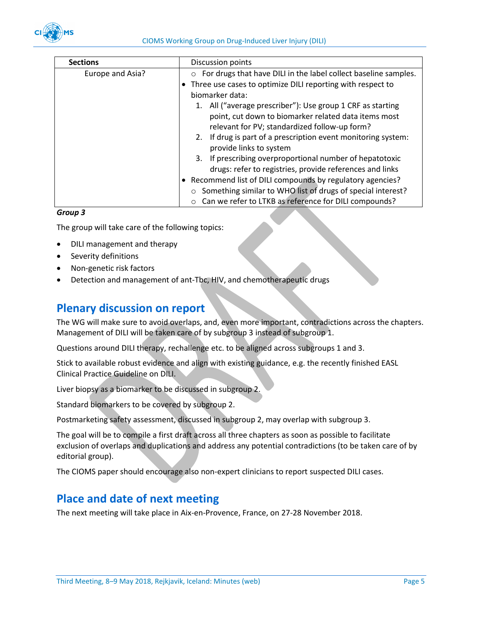

| <b>Sections</b>  | Discussion points                                                 |  |
|------------------|-------------------------------------------------------------------|--|
| Europe and Asia? | o For drugs that have DILI in the label collect baseline samples. |  |
|                  | Three use cases to optimize DILI reporting with respect to        |  |
|                  | biomarker data:                                                   |  |
|                  | 1. All ("average prescriber"): Use group 1 CRF as starting        |  |
|                  | point, cut down to biomarker related data items most              |  |
|                  | relevant for PV; standardized follow-up form?                     |  |
|                  | 2. If drug is part of a prescription event monitoring system:     |  |
|                  | provide links to system                                           |  |
|                  | 3. If prescribing overproportional number of hepatotoxic          |  |
|                  | drugs: refer to registries, provide references and links          |  |
|                  | • Recommend list of DILI compounds by regulatory agencies?        |  |
|                  | Something similar to WHO list of drugs of special interest?       |  |
|                  | Can we refer to LTKB as reference for DILI compounds?             |  |

#### *Group 3*

The group will take care of the following topics:

- DILI management and therapy
- Severity definitions
- Non-genetic risk factors
- Detection and management of ant-Tbc, HIV, and chemotherapeutic drugs

## <span id="page-4-0"></span>**Plenary discussion on report**

The WG will make sure to avoid overlaps, and, even more important, contradictions across the chapters. Management of DILI will be taken care of by subgroup 3 instead of subgroup 1.

Questions around DILI therapy, rechallenge etc. to be aligned across subgroups 1 and 3.

Stick to available robust evidence and align with existing guidance, e.g. the recently finished EASL Clinical Practice Guideline on DILI.

Liver biopsy as a biomarker to be discussed in subgroup 2.

Standard biomarkers to be covered by subgroup 2.

Postmarketing safety assessment, discussed in subgroup 2, may overlap with subgroup 3.

The goal will be to compile a first draft across all three chapters as soon as possible to facilitate exclusion of overlaps and duplications and address any potential contradictions (to be taken care of by editorial group).

The CIOMS paper should encourage also non-expert clinicians to report suspected DILI cases.

## <span id="page-4-1"></span>**Place and date of next meeting**

The next meeting will take place in Aix-en-Provence, France, on 27-28 November 2018.